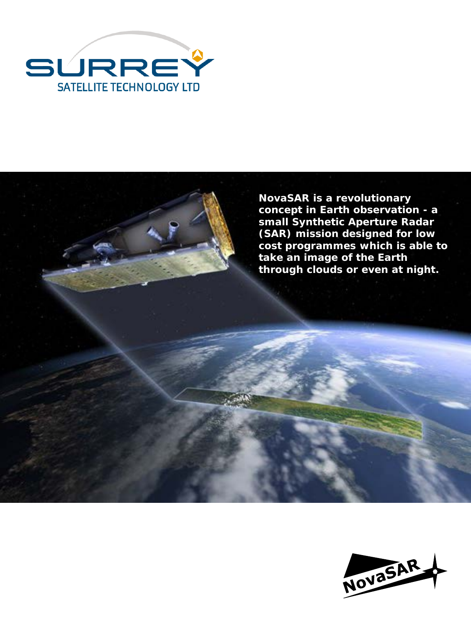



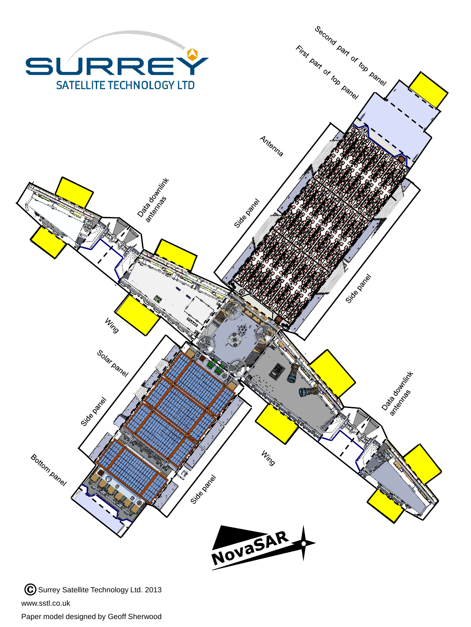

Paper model designed by Geoff Sherwood